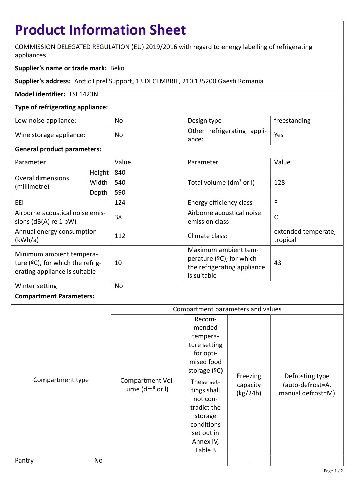# **Product Information Sheet**

COMMISSION DELEGATED REGULATION (EU) 2019/2016 with regard to energy labelling of refrigerating appliances

## **Supplier's name or trade mark:** Beko

**Supplier's address:** Arctic Eprel Support, 13 DECEMBRIE, 210 135200 Gaesti Romania

#### **Model identifier:** TSE1423N

#### **Type of refrigerating appliance:**

| Low-noise appliance:    | No | Design type:                                                | freestanding |
|-------------------------|----|-------------------------------------------------------------|--------------|
| Wine storage appliance: | No | $\parallel$ Other refrigerating appli- $\parallel$<br>ance: | Yes          |

#### **General product parameters:**

| Parameter                                                                                     |        | Value | Parameter                                                                                         | Value                           |
|-----------------------------------------------------------------------------------------------|--------|-------|---------------------------------------------------------------------------------------------------|---------------------------------|
| Overal dimensions<br>(millimetre)                                                             | Height | 840   |                                                                                                   | 128                             |
|                                                                                               | Width  | 540   | Total volume (dm <sup>3</sup> or I)                                                               |                                 |
|                                                                                               | Depth  | 590   |                                                                                                   |                                 |
| EEL.                                                                                          |        | 124   | Energy efficiency class                                                                           | F                               |
| Airborne acoustical noise emis-<br>sions $(dB(A)$ re 1 pW)                                    |        | 38    | Airborne acoustical noise<br>emission class                                                       | $\mathsf{C}$                    |
| Annual energy consumption<br>(kWh/a)                                                          |        | 112   | Climate class:                                                                                    | extended temperate,<br>tropical |
| Minimum ambient tempera-<br>ture (°C), for which the refrig-<br>erating appliance is suitable |        | 10    | Maximum ambient tem-<br>perature $(°C)$ , for which<br>the refrigerating appliance<br>is suitable | 43                              |
| Winter setting                                                                                |        | No    |                                                                                                   |                                 |

### **Compartment Parameters:**

|                            |    | Compartment parameters and values      |                                                                                                                                                                                                                  |                                  |                                                          |
|----------------------------|----|----------------------------------------|------------------------------------------------------------------------------------------------------------------------------------------------------------------------------------------------------------------|----------------------------------|----------------------------------------------------------|
| Compartment type<br>Pantry | No | Compartment Vol-<br>ume $(dm3$ or $I)$ | Recom-<br>mended<br>tempera-<br>ture setting<br>for opti-<br>mised food<br>storage $(°C)$<br>These set-<br>tings shall<br>not con-<br>tradict the<br>storage<br>conditions<br>set out in<br>Annex IV,<br>Table 3 | Freezing<br>capacity<br>(kg/24h) | Defrosting type<br>(auto-defrost=A,<br>manual defrost=M) |
|                            |    |                                        |                                                                                                                                                                                                                  |                                  |                                                          |